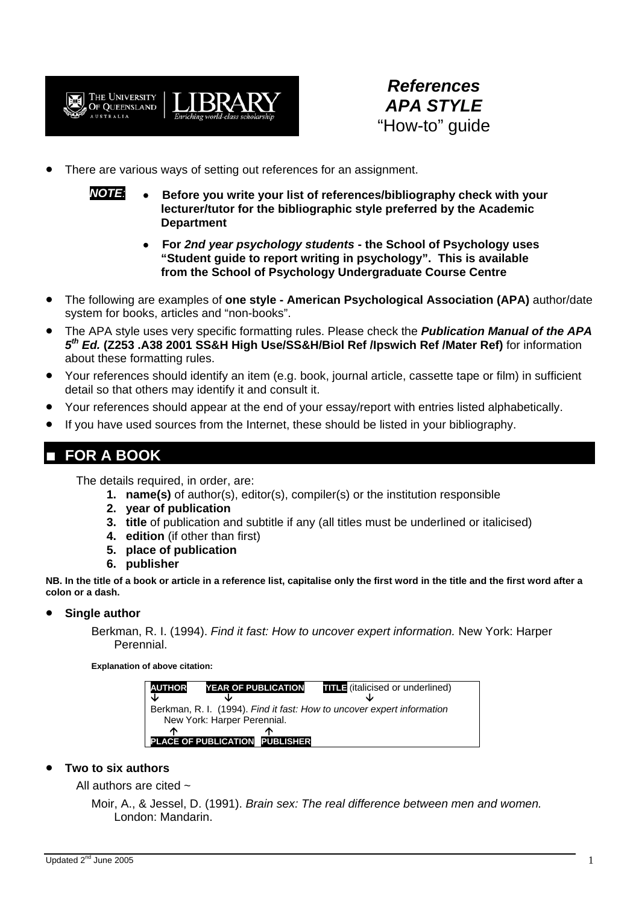

*References APA STYLE*  "How-to" guide

- There are various ways of setting out references for an assignment.
	- *NOTE:* **Before you write your list of references/bibliography check with your lecturer/tutor for the bibliographic style preferred by the Academic Department**
		- **For** *2nd year psychology students* **the School of Psychology uses "Student guide to report writing in psychology". This is available from the School of Psychology Undergraduate Course Centre**
- The following are examples of **one style American Psychological Association (APA)** author/date system for books, articles and "non-books".
- The APA style uses very specific formatting rules. Please check the *Publication Manual of the APA 5th Ed.* **(Z253 .A38 2001 SS&H High Use/SS&H/Biol Ref /Ipswich Ref /Mater Ref)** for information about these formatting rules.
- Your references should identify an item (e.g. book, journal article, cassette tape or film) in sufficient detail so that others may identify it and consult it.
- Your references should appear at the end of your essay/report with entries listed alphabetically.
- If you have used sources from the Internet, these should be listed in your bibliography.

# **FOR A BOOK**

The details required, in order, are:

- **1. name(s)** of author(s), editor(s), compiler(s) or the institution responsible
- **2. year of publication**
- **3. title** of publication and subtitle if any (all titles must be underlined or italicised)
- **4. edition** (if other than first)
- **5. place of publication**
- **6. publisher**

**NB. In the title of a book or article in a reference list, capitalise only the first word in the title and the first word after a colon or a dash.** 

### • **Single author**

Berkman, R. I. (1994). *Find it fast: How to uncover expert information.* New York: Harper Perennial.

**Explanation of above citation:** 

| <b>AUTHOR</b><br>J                                                                                    | <b>YEAR OF PUBLICATION</b>  |                       | <b>THE</b> (italicised or underlined) |  |  |  |
|-------------------------------------------------------------------------------------------------------|-----------------------------|-----------------------|---------------------------------------|--|--|--|
| Berkman, R. I. (1994). Find it fast: How to uncover expert information<br>New York: Harper Perennial. |                             |                       |                                       |  |  |  |
| ́́∩                                                                                                   | <b>PLACE OF PUBLICATION</b> | m<br><b>PUBLISHER</b> |                                       |  |  |  |

### • **Two to six authors**

All authors are cited  $\sim$ 

Moir, A., & Jessel, D. (1991). *Brain sex: The real difference between men and women.* London: Mandarin.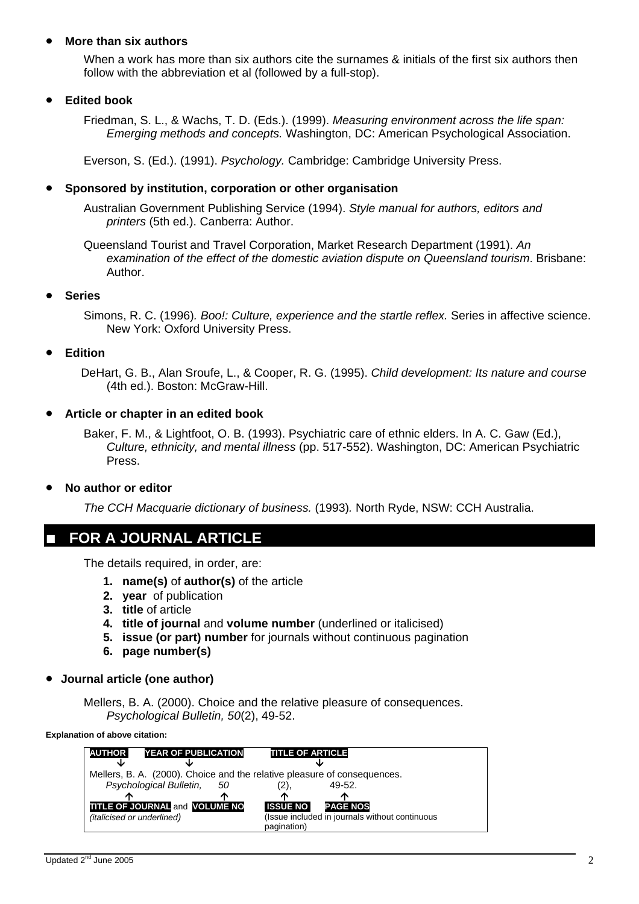### • **More than six authors**

When a work has more than six authors cite the surnames & initials of the first six authors then follow with the abbreviation et al (followed by a full-stop).

### • **Edited book**

Friedman, S. L., & Wachs, T. D. (Eds.). (1999). *Measuring environment across the life span: Emerging methods and concepts.* Washington, DC: American Psychological Association.

Everson, S. (Ed.). (1991). *Psychology.* Cambridge: Cambridge University Press.

#### • **Sponsored by institution, corporation or other organisation**

Australian Government Publishing Service (1994). *Style manual for authors, editors and printers* (5th ed.). Canberra: Author.

Queensland Tourist and Travel Corporation, Market Research Department (1991). *An examination of the effect of the domestic aviation dispute on Queensland tourism*. Brisbane: Author.

#### • **Series**

Simons, R. C. (1996)*. Boo!: Culture, experience and the startle reflex.* Series in affective science. New York: Oxford University Press.

### • **Edition**

DeHart, G. B., Alan Sroufe, L., & Cooper, R. G. (1995). *Child development: Its nature and course* (4th ed.). Boston: McGraw-Hill.

### • **Article or chapter in an edited book**

Baker, F. M., & Lightfoot, O. B. (1993). Psychiatric care of ethnic elders. In A. C. Gaw (Ed.), *Culture, ethnicity, and mental illness* (pp. 517-552). Washington, DC: American Psychiatric Press.

#### • **No author or editor**

*The CCH Macquarie dictionary of business.* (1993)*.* North Ryde, NSW: CCH Australia.

### **FOR A JOURNAL ARTICLE**

The details required, in order, are:

- **1. name(s)** of **author(s)** of the article
- **2. year** of publication
- **3. title** of article
- **4. title of journal** and **volume number** (underlined or italicised)
- **5. issue (or part) number** for journals without continuous pagination
- **6. page number(s)**
- **Journal article (one author)**

Mellers, B. A. (2000). Choice and the relative pleasure of consequences. *Psychological Bulletin, 50*(2), 49-52.

**Explanation of above citation:** 

| <b>AUTHOR</b>                                                            | <b>YEAR OF PUBLICATION</b> |                                                               | <b>TITLE OF ARTICLE</b> |                 |  |  |  |
|--------------------------------------------------------------------------|----------------------------|---------------------------------------------------------------|-------------------------|-----------------|--|--|--|
| sk                                                                       |                            |                                                               |                         |                 |  |  |  |
| Mellers, B. A. (2000). Choice and the relative pleasure of consequences. |                            |                                                               |                         |                 |  |  |  |
|                                                                          | Psychological Bulletin,    | 50                                                            | '2),                    | 49-52.          |  |  |  |
| ́́∩                                                                      |                            | ́∩                                                            | ́́灬                     | æ               |  |  |  |
| <b>TITLE OF JOURNAL and VOLUME NO</b>                                    |                            |                                                               | <b>ISSUE NO</b>         | <b>PAGE NOS</b> |  |  |  |
| <i>(italicised or underlined)</i>                                        |                            | (Issue included in journals without continuous<br>pagination) |                         |                 |  |  |  |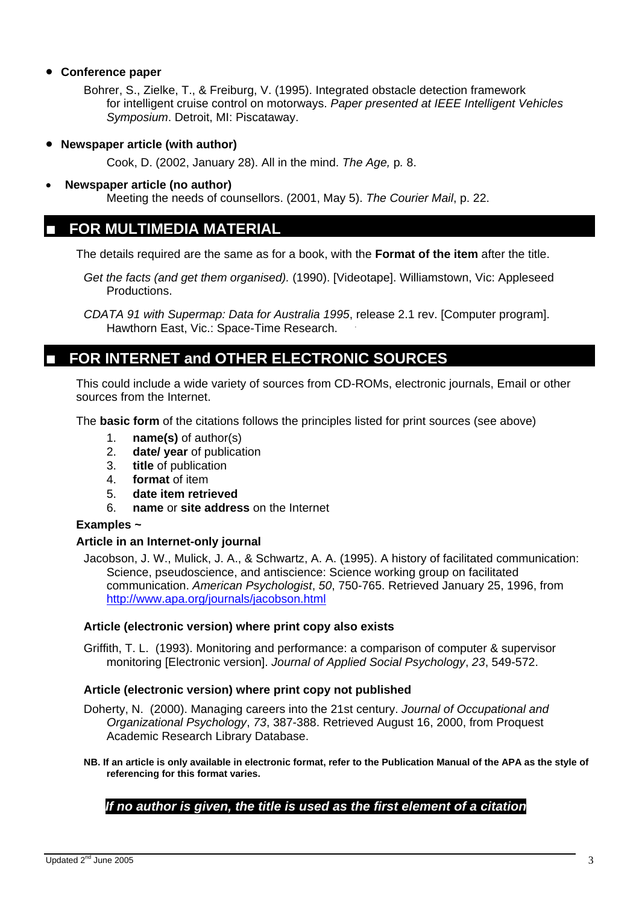### • **Conference paper**

Bohrer, S., Zielke, T., & Freiburg, V. (1995). Integrated obstacle detection framework for intelligent cruise control on motorways. *Paper presented at IEEE Intelligent Vehicles Symposium*. Detroit, MI: Piscataway.

• **Newspaper article (with author)**

Cook, D. (2002, January 28). All in the mind. *The Age,* p*.* 8.

• **Newspaper article (no author)** 

Meeting the needs of counsellors. (2001, May 5). *The Courier Mail*, p. 22.

### **FOR MULTIMEDIA MATERIAL**

The details required are the same as for a book, with the **Format of the item** after the title.

- *Get the facts (and get them organised).* (1990). [Videotape]. Williamstown, Vic: Appleseed Productions.
- *CDATA 91 with Supermap: Data for Australia 1995*, release 2.1 rev. [Computer program]. Hawthorn East, Vic.: Space-Time Research.

# **FOR INTERNET and OTHER ELECTRONIC SOURCES**

This could include a wide variety of sources from CD-ROMs, electronic journals, Email or other sources from the Internet.

The **basic form** of the citations follows the principles listed for print sources (see above)

- 1. **name(s)** of author(s)
- 2. **date/ year** of publication
- 3. **title** of publication
- 4. **format** of item
- 5. **date item retrieved**
- 6. **name** or **site address** on the Internet

### **Examples ~**

### **Article in an Internet-only journal**

Jacobson, J. W., Mulick, J. A., & Schwartz, A. A. (1995). A history of facilitated communication: Science, pseudoscience, and antiscience: Science working group on facilitated communication. *American Psychologist*, *50*, 750-765. Retrieved January 25, 1996, from http://www.apa.org/journals/jacobson.html

### **Article (electronic version) where print copy also exists**

Griffith, T. L. (1993). Monitoring and performance: a comparison of computer & supervisor monitoring [Electronic version]. *Journal of Applied Social Psychology*, *23*, 549-572.

### **Article (electronic version) where print copy not published**

Doherty, N. (2000). Managing careers into the 21st century. *Journal of Occupational and Organizational Psychology*, *73*, 387-388. Retrieved August 16, 2000, from Proquest Academic Research Library Database.

**NB. If an article is only available in electronic format, refer to the Publication Manual of the APA as the style of referencing for this format varies.** 

### *If no author is given, the title is used as the first element of a citation*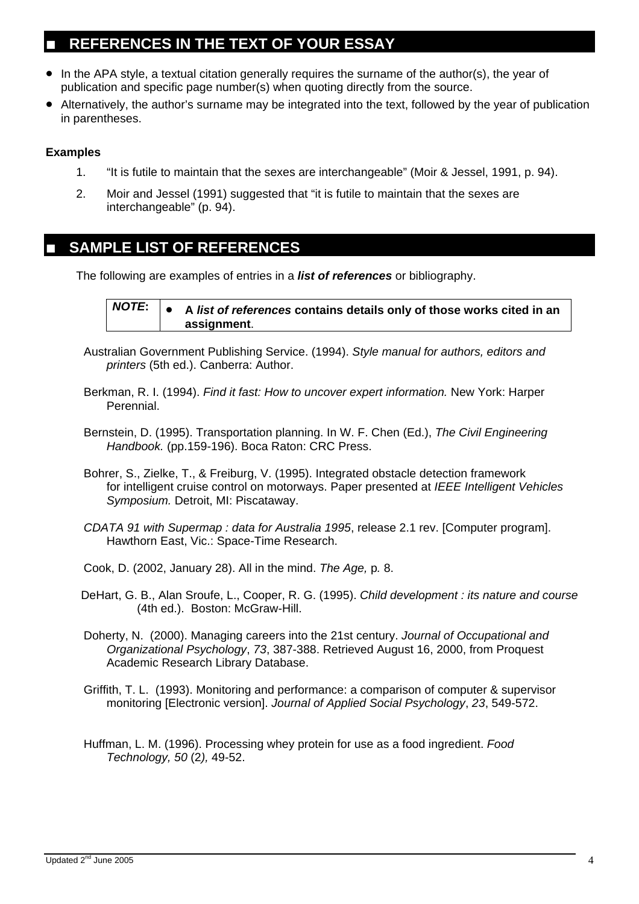## **REFERENCES IN THE TEXT OF YOUR ESSAY**

- In the APA style, a textual citation generally requires the surname of the author(s), the year of publication and specific page number(s) when quoting directly from the source.
- Alternatively, the author's surname may be integrated into the text, followed by the year of publication in parentheses.

### **Examples**

- 1. "It is futile to maintain that the sexes are interchangeable" (Moir & Jessel, 1991, p. 94).
- 2. Moir and Jessel (1991) suggested that "it is futile to maintain that the sexes are interchangeable" (p. 94).

## **SAMPLE LIST OF REFERENCES**

The following are examples of entries in a *list of references* or bibliography.

*NOTE***:** • **A** *list of references* **contains details only of those works cited in an assignment**.

- Australian Government Publishing Service. (1994). *Style manual for authors, editors and printers* (5th ed.). Canberra: Author.
- Berkman, R. I. (1994). *Find it fast: How to uncover expert information.* New York: Harper Perennial.
- Bernstein, D. (1995). Transportation planning. In W. F. Chen (Ed.), *The Civil Engineering Handbook.* (pp.159-196). Boca Raton: CRC Press.
- Bohrer, S., Zielke, T., & Freiburg, V. (1995). Integrated obstacle detection framework for intelligent cruise control on motorways. Paper presented at *IEEE Intelligent Vehicles Symposium.* Detroit, MI: Piscataway.
- *CDATA 91 with Supermap : data for Australia 1995*, release 2.1 rev. [Computer program]. Hawthorn East, Vic.: Space-Time Research.
- Cook, D. (2002, January 28). All in the mind. *The Age,* p*.* 8.
- DeHart, G. B., Alan Sroufe, L., Cooper, R. G. (1995). *Child development : its nature and course* (4th ed.). Boston: McGraw-Hill.
- Doherty, N. (2000). Managing careers into the 21st century. *Journal of Occupational and Organizational Psychology*, *73*, 387-388. Retrieved August 16, 2000, from Proquest Academic Research Library Database.
- Griffith, T. L. (1993). Monitoring and performance: a comparison of computer & supervisor monitoring [Electronic version]. *Journal of Applied Social Psychology*, *23*, 549-572.
- Huffman, L. M. (1996). Processing whey protein for use as a food ingredient. *Food Technology, 50* (2*),* 49-52.